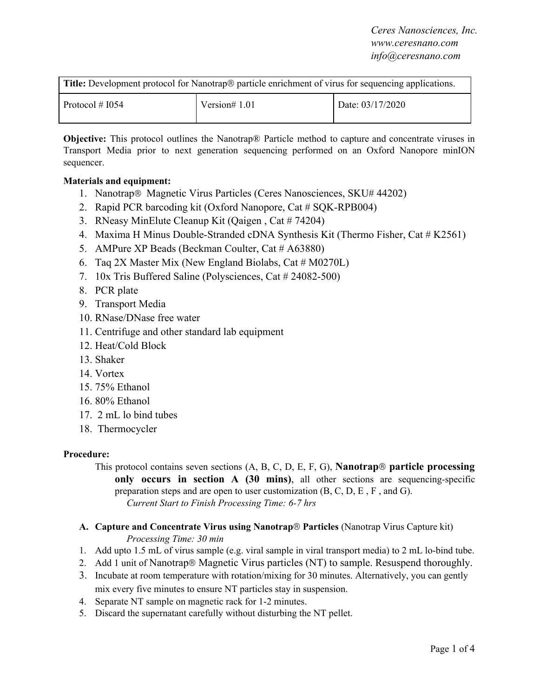*Ceres Nanosciences, Inc. www.ceresnano.com info@ceresnano.com*

| <b>Title:</b> Development protocol for Nanotrap <sup>®</sup> particle enrichment of virus for sequencing applications. |                 |                  |
|------------------------------------------------------------------------------------------------------------------------|-----------------|------------------|
| Protocol # $1054$                                                                                                      | Version# $1.01$ | Date: 03/17/2020 |

**Objective:** This protocol outlines the Nanotrap® Particle method to capture and concentrate viruses in Transport Media prior to next generation sequencing performed on an Oxford Nanopore minION sequencer.

# **Materials and equipment:**

- 1. Nanotrap® Magnetic Virus Particles (Ceres Nanosciences, SKU# 44202)
- 2. Rapid PCR barcoding kit (Oxford Nanopore, Cat # SQK-RPB004)
- 3. RNeasy MinElute Cleanup Kit (Qaigen , Cat # 74204)
- 4. Maxima H Minus Double-Stranded cDNA Synthesis Kit (Thermo Fisher, Cat # K2561)
- 5. AMPure XP Beads (Beckman Coulter, Cat # A63880)
- 6. Tag 2X Master Mix (New England Biolabs, Cat  $\#$  M0270L)
- 7. 10x Tris Buffered Saline (Polysciences, Cat # 24082-500)
- 8. PCR plate
- 9. Transport Media
- 10. RNase/DNase free water
- 11. Centrifuge and other standard lab equipment
- 12. Heat/Cold Block
- 13. Shaker
- 14. Vortex
- 15. 75% Ethanol
- 16. 80% Ethanol
- 17. 2 mL lo bind tubes
- 18. Thermocycler

# **Procedure:**

This protocol contains seven sections (A, B, C, D, E, F, G), **Nanotrap**® **particle processing only occurs in section A (30 mins)**, all other sections are sequencing-specific preparation steps and are open to user customization (B, C, D, E , F , and G). *Current Start to Finish Processing Time: 6-7 hrs*

- **A. Capture and Concentrate Virus using Nanotrap**® **Particles** (Nanotrap Virus Capture kit) *Processing Time: 30 min*
- 1. Add upto 1.5 mL of virus sample (e.g. viral sample in viral transport media) to 2 mL lo-bind tube.
- 2. Add 1 unit of Nanotrap® Magnetic Virus particles (NT) to sample. Resuspend thoroughly.
- 3. Incubate at room temperature with rotation/mixing for 30 minutes. Alternatively, you can gently mix every five minutes to ensure NT particles stay in suspension.
- 4. Separate NT sample on magnetic rack for 1-2 minutes.
- 5. Discard the supernatant carefully without disturbing the NT pellet.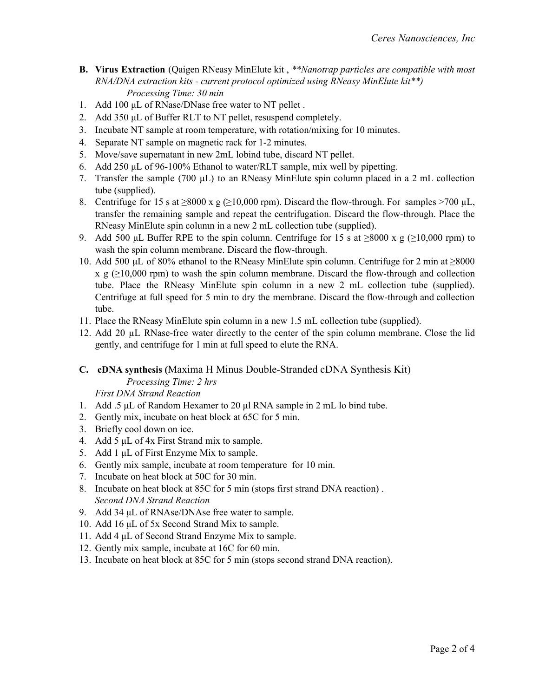- **B. Virus Extraction** (Qaigen RNeasy MinElute kit , *\*\*Nanotrap particles are compatible with most RNA/DNA extraction kits - current protocol optimized using RNeasy MinElute kit\*\*) Processing Time: 30 min*
- 1. Add 100 μL of RNase/DNase free water to NT pellet .
- 2. Add 350 μL of Buffer RLT to NT pellet, resuspend completely.
- 3. Incubate NT sample at room temperature, with rotation/mixing for 10 minutes.
- 4. Separate NT sample on magnetic rack for 1-2 minutes.
- 5. Move/save supernatant in new 2mL lobind tube, discard NT pellet.
- 6. Add 250 μL of 96-100% Ethanol to water/RLT sample, mix well by pipetting.
- 7. Transfer the sample (700 μL) to an RNeasy MinElute spin column placed in a 2 mL collection tube (supplied).
- 8. Centrifuge for 15 s at  $\geq 8000 \text{ x g } (\geq 10,000 \text{ rpm})$ . Discard the flow-through. For samples  $\geq 700 \text{ }\mu\text{L}$ , transfer the remaining sample and repeat the centrifugation. Discard the flow-through. Place the RNeasy MinElute spin column in a new 2 mL collection tube (supplied).
- 9. Add 500 μL Buffer RPE to the spin column. Centrifuge for 15 s at  $\geq 8000$  x g ( $\geq 10,000$  rpm) to wash the spin column membrane. Discard the flow-through.
- 10. Add 500 μL of 80% ethanol to the RNeasy MinElute spin column. Centrifuge for 2 min at ≥8000  $x \ g \geq 10,000$  rpm) to wash the spin column membrane. Discard the flow-through and collection tube. Place the RNeasy MinElute spin column in a new 2 mL collection tube (supplied). Centrifuge at full speed for 5 min to dry the membrane. Discard the flow-through and collection tube.
- 11. Place the RNeasy MinElute spin column in a new 1.5 mL collection tube (supplied).
- 12. Add 20 µL RNase-free water directly to the center of the spin column membrane. Close the lid gently, and centrifuge for 1 min at full speed to elute the RNA.

### **C. cDNA synthesis (**Maxima H Minus Double-Stranded cDNA Synthesis Kit) *Processing Time: 2 hrs*

#### *First DNA Strand Reaction*

- 1. Add .5 μL of Random Hexamer to 20 μl RNA sample in 2 mL lo bind tube.
- 2. Gently mix, incubate on heat block at 65C for 5 min.
- 3. Briefly cool down on ice.
- 4. Add 5 μL of 4x First Strand mix to sample.
- 5. Add 1 μL of First Enzyme Mix to sample.
- 6. Gently mix sample, incubate at room temperature for 10 min.
- 7. Incubate on heat block at 50C for 30 min.
- 8. Incubate on heat block at 85C for 5 min (stops first strand DNA reaction) . *Second DNA Strand Reaction*
- 9. Add 34 μL of RNAse/DNAse free water to sample.
- 10. Add 16 μL of 5x Second Strand Mix to sample.
- 11. Add 4 μL of Second Strand Enzyme Mix to sample.
- 12. Gently mix sample, incubate at 16C for 60 min.
- 13. Incubate on heat block at 85C for 5 min (stops second strand DNA reaction).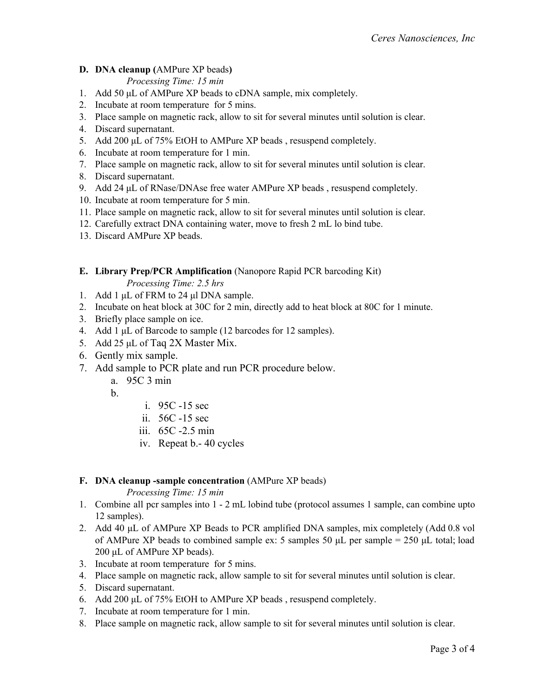# **D. DNA cleanup (**AMPure XP beads**)**

*Processing Time: 15 min*

- 1. Add 50 μL of AMPure XP beads to cDNA sample, mix completely.
- 2. Incubate at room temperature for 5 mins.
- 3. Place sample on magnetic rack, allow to sit for several minutes until solution is clear.
- 4. Discard supernatant.
- 5. Add 200 μL of 75% EtOH to AMPure XP beads , resuspend completely.
- 6. Incubate at room temperature for 1 min.
- 7. Place sample on magnetic rack, allow to sit for several minutes until solution is clear.
- 8. Discard supernatant.
- 9. Add 24 μL of RNase/DNAse free water AMPure XP beads , resuspend completely.
- 10. Incubate at room temperature for 5 min.
- 11. Place sample on magnetic rack, allow to sit for several minutes until solution is clear.
- 12. Carefully extract DNA containing water, move to fresh 2 mL lo bind tube.
- 13. Discard AMPure XP beads.

**E. Library Prep/PCR Amplification** (Nanopore Rapid PCR barcoding Kit)

*Processing Time: 2.5 hrs*

- 1. Add 1 μL of FRM to 24 μl DNA sample.
- 2. Incubate on heat block at 30C for 2 min, directly add to heat block at 80C for 1 minute.
- 3. Briefly place sample on ice.
- 4. Add 1 μL of Barcode to sample (12 barcodes for 12 samples).
- 5. Add 25 μL of Taq 2X Master Mix.
- 6. Gently mix sample.
- 7. Add sample to PCR plate and run PCR procedure below.
	- a. 95C 3 min

b.

- i. 95C -15 sec
- ii. 56C -15 sec
- iii. 65C -2.5 min
- iv. Repeat b.- 40 cycles

#### **F. DNA cleanup -sample concentration** (AMPure XP beads)

#### *Processing Time: 15 min*

- 1. Combine all pcr samples into 1 2 mL lobind tube (protocol assumes 1 sample, can combine upto 12 samples).
- 2. Add 40 μL of AMPure XP Beads to PCR amplified DNA samples, mix completely (Add 0.8 vol of AMPure XP beads to combined sample ex: 5 samples 50  $\mu$ L per sample = 250  $\mu$ L total; load 200 μL of AMPure XP beads).
- 3. Incubate at room temperature for 5 mins.
- 4. Place sample on magnetic rack, allow sample to sit for several minutes until solution is clear.
- 5. Discard supernatant.
- 6. Add 200 μL of 75% EtOH to AMPure XP beads , resuspend completely.
- 7. Incubate at room temperature for 1 min.
- 8. Place sample on magnetic rack, allow sample to sit for several minutes until solution is clear.